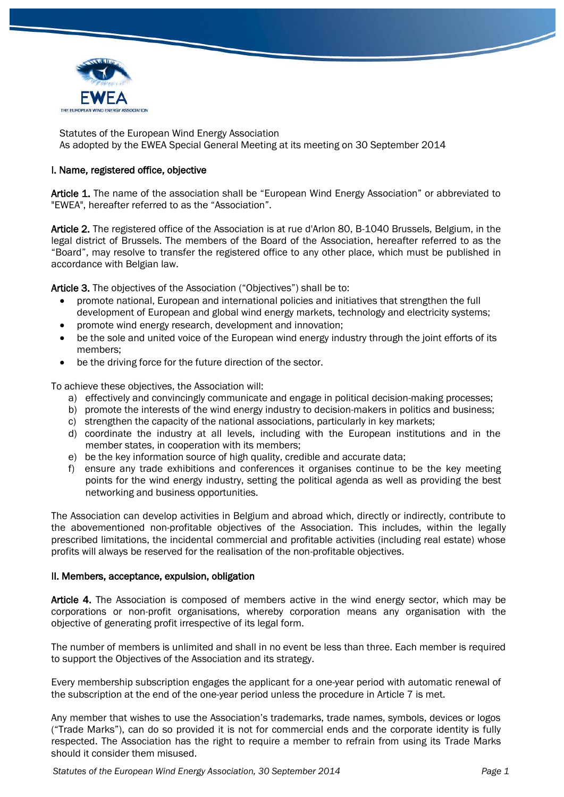

Statutes of the European Wind Energy Association As adopted by the EWEA Special General Meeting at its meeting on 30 September 2014

# I. Name, registered office, objective

Article 1. The name of the association shall be "European Wind Energy Association" or abbreviated to "EWEA", hereafter referred to as the "Association".

Article 2. The registered office of the Association is at rue d'Arlon 80, B-1040 Brussels, Belgium, in the legal district of Brussels. The members of the Board of the Association, hereafter referred to as the "Board", may resolve to transfer the registered office to any other place, which must be published in accordance with Belgian law.

Article 3. The objectives of the Association ("Objectives") shall be to:

- promote national, European and international policies and initiatives that strengthen the full development of European and global wind energy markets, technology and electricity systems;
- promote wind energy research, development and innovation;
- be the sole and united voice of the European wind energy industry through the joint efforts of its members;
- be the driving force for the future direction of the sector.

To achieve these objectives, the Association will:

- a) effectively and convincingly communicate and engage in political decision-making processes;
- b) promote the interests of the wind energy industry to decision-makers in politics and business;
- c) strengthen the capacity of the national associations, particularly in key markets;
- d) coordinate the industry at all levels, including with the European institutions and in the member states, in cooperation with its members;
- e) be the key information source of high quality, credible and accurate data;
- f) ensure any trade exhibitions and conferences it organises continue to be the key meeting points for the wind energy industry, setting the political agenda as well as providing the best networking and business opportunities.

The Association can develop activities in Belgium and abroad which, directly or indirectly, contribute to the abovementioned non-profitable objectives of the Association. This includes, within the legally prescribed limitations, the incidental commercial and profitable activities (including real estate) whose profits will always be reserved for the realisation of the non-profitable objectives.

### II. Members, acceptance, expulsion, obligation

Article 4. The Association is composed of members active in the wind energy sector, which may be corporations or non-profit organisations, whereby corporation means any organisation with the objective of generating profit irrespective of its legal form.

The number of members is unlimited and shall in no event be less than three. Each member is required to support the Objectives of the Association and its strategy.

Every membership subscription engages the applicant for a one-year period with automatic renewal of the subscription at the end of the one-year period unless the procedure in Article 7 is met.

Any member that wishes to use the Association's trademarks, trade names, symbols, devices or logos ("Trade Marks"), can do so provided it is not for commercial ends and the corporate identity is fully respected. The Association has the right to require a member to refrain from using its Trade Marks should it consider them misused.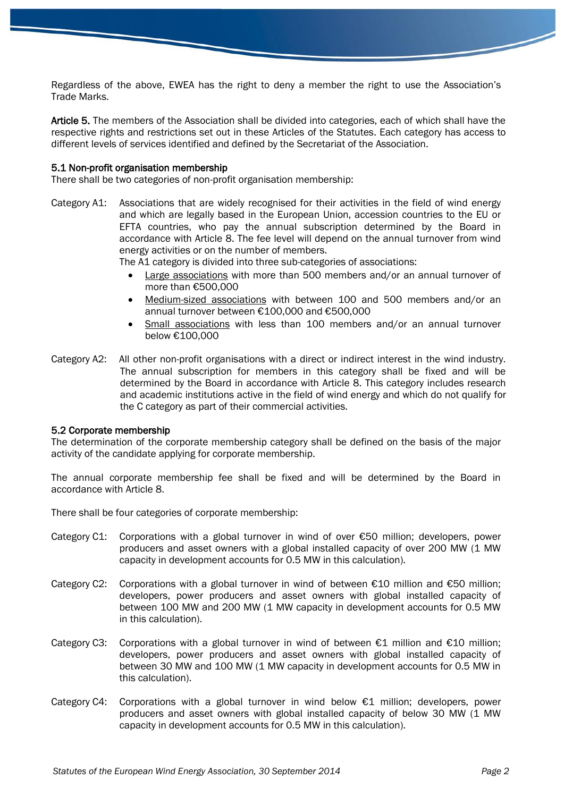Regardless of the above, EWEA has the right to deny a member the right to use the Association's Trade Marks.

Article 5. The members of the Association shall be divided into categories, each of which shall have the respective rights and restrictions set out in these Articles of the Statutes. Each category has access to different levels of services identified and defined by the Secretariat of the Association.

#### 5.1 Non-profit organisation membership

There shall be two categories of non-profit organisation membership:

Category A1: Associations that are widely recognised for their activities in the field of wind energy and which are legally based in the European Union, accession countries to the EU or EFTA countries, who pay the annual subscription determined by the Board in accordance with Article 8. The fee level will depend on the annual turnover from wind energy activities or on the number of members.

The A1 category is divided into three sub-categories of associations:

- Large associations with more than 500 members and/or an annual turnover of more than €500,000
- Medium-sized associations with between 100 and 500 members and/or an annual turnover between €100,000 and €500,000
- Small associations with less than 100 members and/or an annual turnover below €100,000
- Category A2: All other non-profit organisations with a direct or indirect interest in the wind industry. The annual subscription for members in this category shall be fixed and will be determined by the Board in accordance with Article 8. This category includes research and academic institutions active in the field of wind energy and which do not qualify for the C category as part of their commercial activities.

#### 5.2 Corporate membership

The determination of the corporate membership category shall be defined on the basis of the major activity of the candidate applying for corporate membership.

The annual corporate membership fee shall be fixed and will be determined by the Board in accordance with Article 8.

There shall be four categories of corporate membership:

- Category C1: Corporations with a global turnover in wind of over €50 million; developers, power producers and asset owners with a global installed capacity of over 200 MW (1 MW capacity in development accounts for 0.5 MW in this calculation).
- Category C2: Corporations with a global turnover in wind of between  $\epsilon$ 10 million and  $\epsilon$ 50 million; developers, power producers and asset owners with global installed capacity of between 100 MW and 200 MW (1 MW capacity in development accounts for 0.5 MW in this calculation).
- Category C3: Corporations with a global turnover in wind of between  $E1$  million and  $E10$  million; developers, power producers and asset owners with global installed capacity of between 30 MW and 100 MW (1 MW capacity in development accounts for 0.5 MW in this calculation).
- Category C4: Corporations with a global turnover in wind below  $\epsilon$ 1 million; developers, power producers and asset owners with global installed capacity of below 30 MW (1 MW capacity in development accounts for 0.5 MW in this calculation).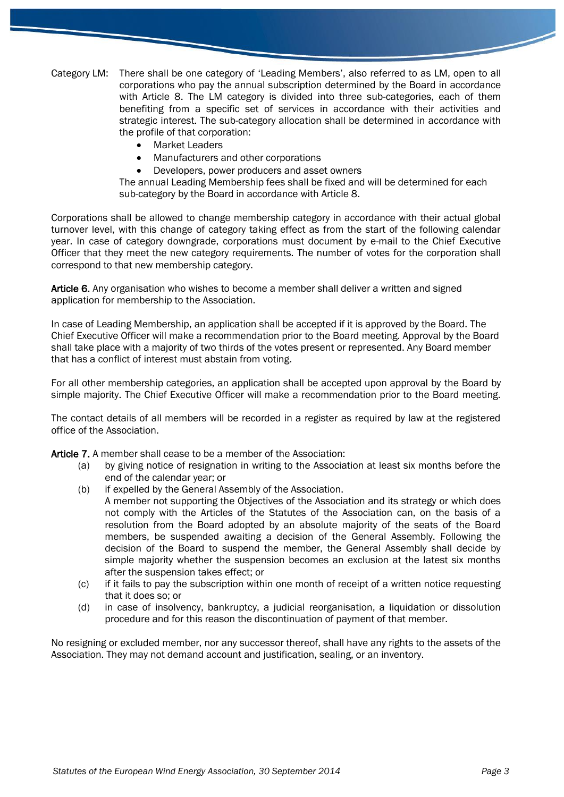Category LM: There shall be one category of 'Leading Members', also referred to as LM, open to all corporations who pay the annual subscription determined by the Board in accordance with Article 8. The LM category is divided into three sub-categories, each of them benefiting from a specific set of services in accordance with their activities and strategic interest. The sub-category allocation shall be determined in accordance with the profile of that corporation:

- Market Leaders
- Manufacturers and other corporations
- Developers, power producers and asset owners

The annual Leading Membership fees shall be fixed and will be determined for each sub-category by the Board in accordance with Article 8.

Corporations shall be allowed to change membership category in accordance with their actual global turnover level, with this change of category taking effect as from the start of the following calendar year. In case of category downgrade, corporations must document by e-mail to the Chief Executive Officer that they meet the new category requirements. The number of votes for the corporation shall correspond to that new membership category.

Article 6. Any organisation who wishes to become a member shall deliver a written and signed application for membership to the Association.

In case of Leading Membership, an application shall be accepted if it is approved by the Board. The Chief Executive Officer will make a recommendation prior to the Board meeting. Approval by the Board shall take place with a majority of two thirds of the votes present or represented. Any Board member that has a conflict of interest must abstain from voting.

For all other membership categories, an application shall be accepted upon approval by the Board by simple majority. The Chief Executive Officer will make a recommendation prior to the Board meeting.

The contact details of all members will be recorded in a register as required by law at the registered office of the Association.

Article 7. A member shall cease to be a member of the Association:

- (a) by giving notice of resignation in writing to the Association at least six months before the end of the calendar year; or
- (b) if expelled by the General Assembly of the Association.
	- A member not supporting the Objectives of the Association and its strategy or which does not comply with the Articles of the Statutes of the Association can, on the basis of a resolution from the Board adopted by an absolute majority of the seats of the Board members, be suspended awaiting a decision of the General Assembly. Following the decision of the Board to suspend the member, the General Assembly shall decide by simple majority whether the suspension becomes an exclusion at the latest six months after the suspension takes effect; or
- (c) if it fails to pay the subscription within one month of receipt of a written notice requesting that it does so; or
- (d) in case of insolvency, bankruptcy, a judicial reorganisation, a liquidation or dissolution procedure and for this reason the discontinuation of payment of that member.

No resigning or excluded member, nor any successor thereof, shall have any rights to the assets of the Association. They may not demand account and justification, sealing, or an inventory.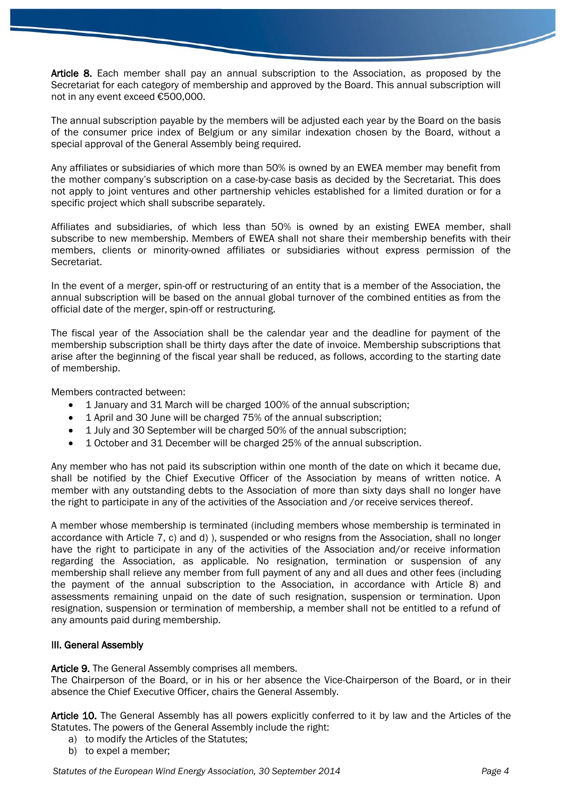Article 8. Each member shall pay an annual subscription to the Association, as proposed by the Secretariat for each category of membership and approved by the Board. This annual subscription will not in any event exceed €500,000.

The annual subscription payable by the members will be adjusted each year by the Board on the basis of the consumer price index of Belgium or any similar indexation chosen by the Board, without a special approval of the General Assembly being required.

Any affiliates or subsidiaries of which more than 50% is owned by an EWEA member may benefit from the mother company's subscription on a case-by-case basis as decided by the Secretariat. This does not apply to joint ventures and other partnership vehicles established for a limited duration or for a specific project which shall subscribe separately.

Affiliates and subsidiaries, of which less than 50% is owned by an existing EWEA member, shall subscribe to new membership. Members of EWEA shall not share their membership benefits with their members, clients or minority-owned affiliates or subsidiaries without express permission of the Secretariat.

In the event of a merger, spin-off or restructuring of an entity that is a member of the Association, the annual subscription will be based on the annual global turnover of the combined entities as from the official date of the merger, spin-off or restructuring.

The fiscal year of the Association shall be the calendar year and the deadline for payment of the membership subscription shall be thirty days after the date of invoice. Membership subscriptions that arise after the beginning of the fiscal year shall be reduced, as follows, according to the starting date of membership.

Members contracted between:

- 1 January and 31 March will be charged 100% of the annual subscription;
- 1 April and 30 June will be charged 75% of the annual subscription;
- 1 July and 30 September will be charged 50% of the annual subscription;
- 1 October and 31 December will be charged 25% of the annual subscription.

Any member who has not paid its subscription within one month of the date on which it became due, shall be notified by the Chief Executive Officer of the Association by means of written notice. A member with any outstanding debts to the Association of more than sixty days shall no longer have the right to participate in any of the activities of the Association and /or receive services thereof.

A member whose membership is terminated (including members whose membership is terminated in accordance with Article 7, c) and d) ), suspended or who resigns from the Association, shall no longer have the right to participate in any of the activities of the Association and/or receive information regarding the Association, as applicable. No resignation, termination or suspension of any membership shall relieve any member from full payment of any and all dues and other fees (including the payment of the annual subscription to the Association, in accordance with Article 8) and assessments remaining unpaid on the date of such resignation, suspension or termination. Upon resignation, suspension or termination of membership, a member shall not be entitled to a refund of any amounts paid during membership.

### III. General Assembly

Article 9. The General Assembly comprises all members.

The Chairperson of the Board, or in his or her absence the Vice-Chairperson of the Board, or in their absence the Chief Executive Officer, chairs the General Assembly.

Article 10. The General Assembly has all powers explicitly conferred to it by law and the Articles of the Statutes. The powers of the General Assembly include the right:

- a) to modify the Articles of the Statutes;
- b) to expel a member;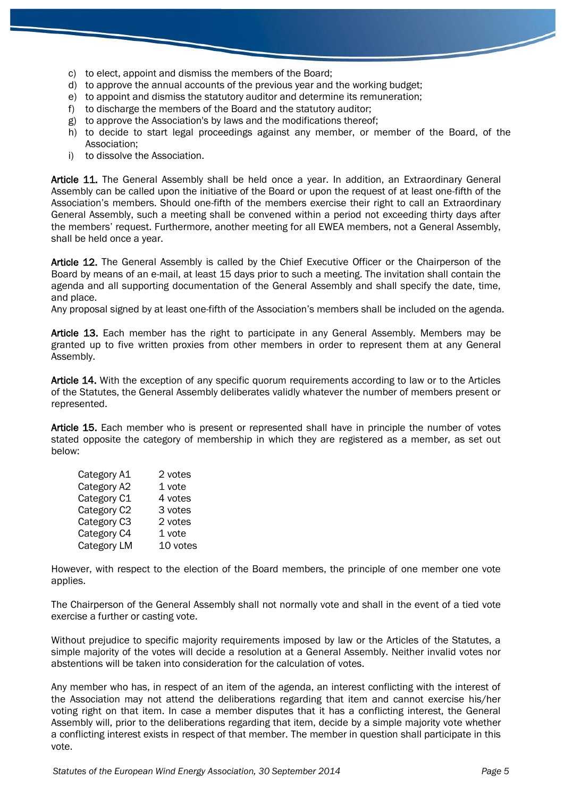- c) to elect, appoint and dismiss the members of the Board;
- d) to approve the annual accounts of the previous year and the working budget;
- e) to appoint and dismiss the statutory auditor and determine its remuneration;
- f) to discharge the members of the Board and the statutory auditor;
- g) to approve the Association's by laws and the modifications thereof;
- h) to decide to start legal proceedings against any member, or member of the Board, of the Association;
- i) to dissolve the Association.

Article 11. The General Assembly shall be held once a year. In addition, an Extraordinary General Assembly can be called upon the initiative of the Board or upon the request of at least one-fifth of the Association's members. Should one-fifth of the members exercise their right to call an Extraordinary General Assembly, such a meeting shall be convened within a period not exceeding thirty days after the members' request. Furthermore, another meeting for all EWEA members, not a General Assembly, shall be held once a year.

Article 12. The General Assembly is called by the Chief Executive Officer or the Chairperson of the Board by means of an e-mail, at least 15 days prior to such a meeting. The invitation shall contain the agenda and all supporting documentation of the General Assembly and shall specify the date, time, and place.

Any proposal signed by at least one-fifth of the Association's members shall be included on the agenda.

Article 13. Each member has the right to participate in any General Assembly. Members may be granted up to five written proxies from other members in order to represent them at any General Assembly.

Article 14. With the exception of any specific quorum requirements according to law or to the Articles of the Statutes, the General Assembly deliberates validly whatever the number of members present or represented.

Article 15. Each member who is present or represented shall have in principle the number of votes stated opposite the category of membership in which they are registered as a member, as set out below:

| Category A1 | 2 votes  |
|-------------|----------|
| Category A2 | 1 vote   |
| Category C1 | 4 votes  |
| Category C2 | 3 votes  |
| Category C3 | 2 votes  |
| Category C4 | 1 vote   |
| Category LM | 10 votes |

However, with respect to the election of the Board members, the principle of one member one vote applies.

The Chairperson of the General Assembly shall not normally vote and shall in the event of a tied vote exercise a further or casting vote.

Without prejudice to specific majority requirements imposed by law or the Articles of the Statutes, a simple majority of the votes will decide a resolution at a General Assembly. Neither invalid votes nor abstentions will be taken into consideration for the calculation of votes.

Any member who has, in respect of an item of the agenda, an interest conflicting with the interest of the Association may not attend the deliberations regarding that item and cannot exercise his/her voting right on that item. In case a member disputes that it has a conflicting interest, the General Assembly will, prior to the deliberations regarding that item, decide by a simple majority vote whether a conflicting interest exists in respect of that member. The member in question shall participate in this vote.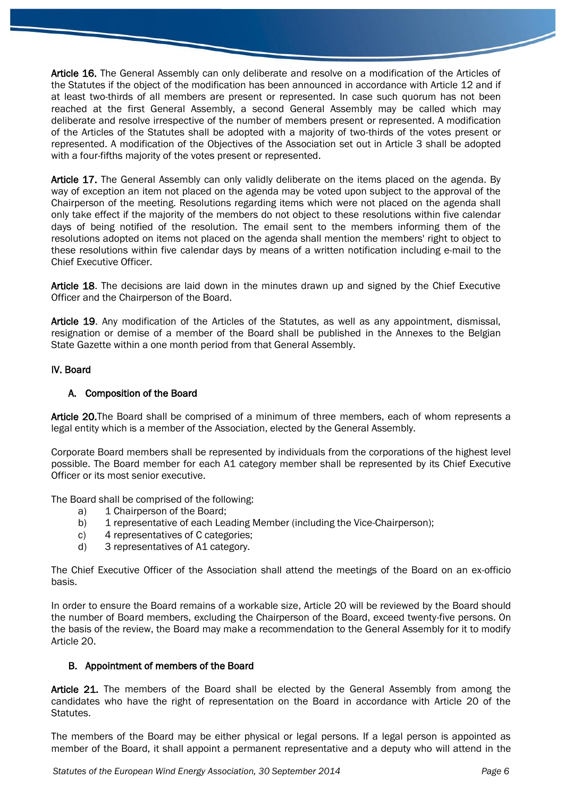Article 16. The General Assembly can only deliberate and resolve on a modification of the Articles of the Statutes if the object of the modification has been announced in accordance with Article 12 and if at least two-thirds of all members are present or represented. In case such quorum has not been reached at the first General Assembly, a second General Assembly may be called which may deliberate and resolve irrespective of the number of members present or represented. A modification of the Articles of the Statutes shall be adopted with a majority of two-thirds of the votes present or represented. A modification of the Objectives of the Association set out in Article 3 shall be adopted with a four-fifths majority of the votes present or represented.

Article 17. The General Assembly can only validly deliberate on the items placed on the agenda. By way of exception an item not placed on the agenda may be voted upon subject to the approval of the Chairperson of the meeting. Resolutions regarding items which were not placed on the agenda shall only take effect if the majority of the members do not object to these resolutions within five calendar days of being notified of the resolution. The email sent to the members informing them of the resolutions adopted on items not placed on the agenda shall mention the members' right to object to these resolutions within five calendar days by means of a written notification including e-mail to the Chief Executive Officer.

Article 18. The decisions are laid down in the minutes drawn up and signed by the Chief Executive Officer and the Chairperson of the Board.

Article 19. Any modification of the Articles of the Statutes, as well as any appointment, dismissal, resignation or demise of a member of the Board shall be published in the Annexes to the Belgian State Gazette within a one month period from that General Assembly.

# IV. Board

# A. Composition of the Board

Article 20.The Board shall be comprised of a minimum of three members, each of whom represents a legal entity which is a member of the Association, elected by the General Assembly.

Corporate Board members shall be represented by individuals from the corporations of the highest level possible. The Board member for each A1 category member shall be represented by its Chief Executive Officer or its most senior executive.

The Board shall be comprised of the following:

- a) 1 Chairperson of the Board;
- b) 1 representative of each Leading Member (including the Vice-Chairperson);
- c) 4 representatives of C categories;
- d) 3 representatives of A1 category.

The Chief Executive Officer of the Association shall attend the meetings of the Board on an ex-officio basis.

In order to ensure the Board remains of a workable size, Article 20 will be reviewed by the Board should the number of Board members, excluding the Chairperson of the Board, exceed twenty-five persons. On the basis of the review, the Board may make a recommendation to the General Assembly for it to modify Article 20.

### B. Appointment of members of the Board

Article 21. The members of the Board shall be elected by the General Assembly from among the candidates who have the right of representation on the Board in accordance with Article 20 of the Statutes.

The members of the Board may be either physical or legal persons. If a legal person is appointed as member of the Board, it shall appoint a permanent representative and a deputy who will attend in the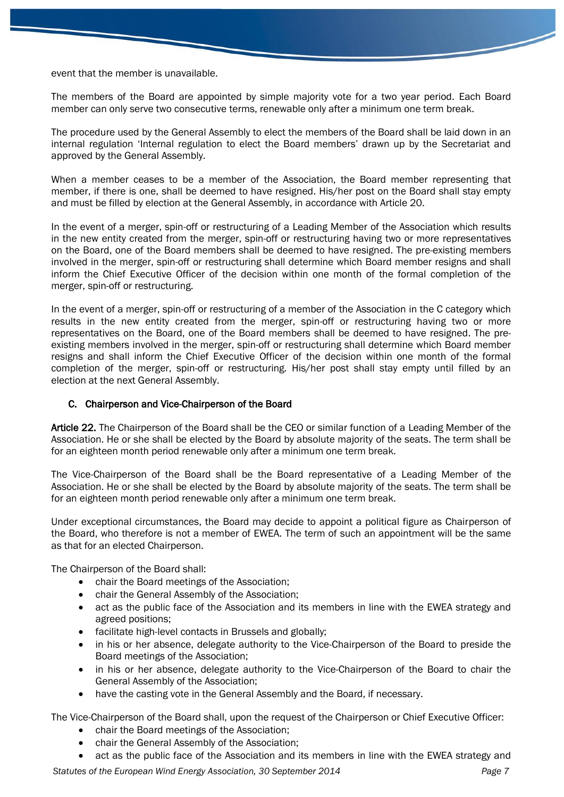event that the member is unavailable.

The members of the Board are appointed by simple majority vote for a two year period. Each Board member can only serve two consecutive terms, renewable only after a minimum one term break.

The procedure used by the General Assembly to elect the members of the Board shall be laid down in an internal regulation 'Internal regulation to elect the Board members' drawn up by the Secretariat and approved by the General Assembly.

When a member ceases to be a member of the Association, the Board member representing that member, if there is one, shall be deemed to have resigned. His/her post on the Board shall stay empty and must be filled by election at the General Assembly, in accordance with Article 20.

In the event of a merger, spin-off or restructuring of a Leading Member of the Association which results in the new entity created from the merger, spin-off or restructuring having two or more representatives on the Board, one of the Board members shall be deemed to have resigned. The pre-existing members involved in the merger, spin-off or restructuring shall determine which Board member resigns and shall inform the Chief Executive Officer of the decision within one month of the formal completion of the merger, spin-off or restructuring.

In the event of a merger, spin-off or restructuring of a member of the Association in the C category which results in the new entity created from the merger, spin-off or restructuring having two or more representatives on the Board, one of the Board members shall be deemed to have resigned. The preexisting members involved in the merger, spin-off or restructuring shall determine which Board member resigns and shall inform the Chief Executive Officer of the decision within one month of the formal completion of the merger, spin-off or restructuring. His/her post shall stay empty until filled by an election at the next General Assembly.

# C. Chairperson and Vice-Chairperson of the Board

Article 22. The Chairperson of the Board shall be the CEO or similar function of a Leading Member of the Association. He or she shall be elected by the Board by absolute majority of the seats. The term shall be for an eighteen month period renewable only after a minimum one term break.

The Vice-Chairperson of the Board shall be the Board representative of a Leading Member of the Association. He or she shall be elected by the Board by absolute majority of the seats. The term shall be for an eighteen month period renewable only after a minimum one term break.

Under exceptional circumstances, the Board may decide to appoint a political figure as Chairperson of the Board, who therefore is not a member of EWEA. The term of such an appointment will be the same as that for an elected Chairperson.

The Chairperson of the Board shall:

- chair the Board meetings of the Association;
- chair the General Assembly of the Association;
- act as the public face of the Association and its members in line with the EWEA strategy and agreed positions;
- facilitate high-level contacts in Brussels and globally;
- in his or her absence, delegate authority to the Vice-Chairperson of the Board to preside the Board meetings of the Association;
- in his or her absence, delegate authority to the Vice-Chairperson of the Board to chair the General Assembly of the Association;
- have the casting vote in the General Assembly and the Board, if necessary.

The Vice-Chairperson of the Board shall, upon the request of the Chairperson or Chief Executive Officer:

- chair the Board meetings of the Association;
- chair the General Assembly of the Association;
- act as the public face of the Association and its members in line with the EWEA strategy and

*Statutes of the European Wind Energy Association, 30 September 2014 Page 7*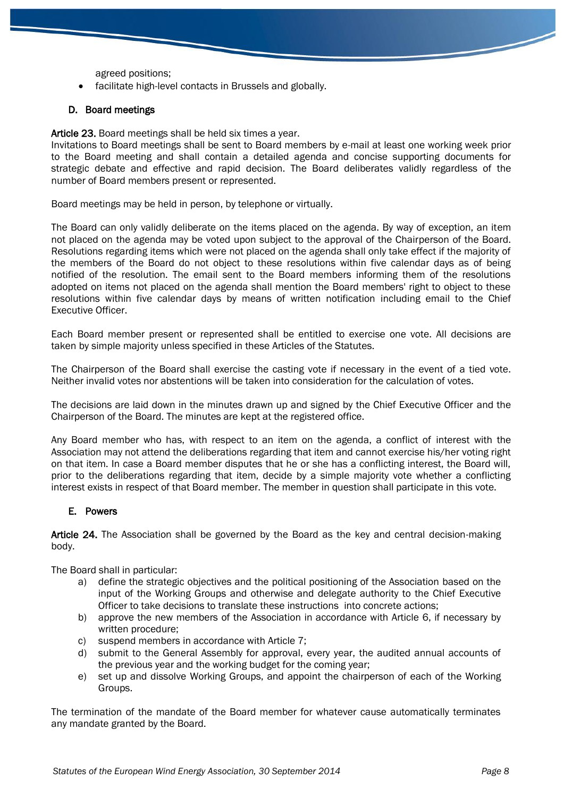agreed positions;

facilitate high-level contacts in Brussels and globally.

#### D. Board meetings

Article 23. Board meetings shall be held six times a year.

Invitations to Board meetings shall be sent to Board members by e-mail at least one working week prior to the Board meeting and shall contain a detailed agenda and concise supporting documents for strategic debate and effective and rapid decision. The Board deliberates validly regardless of the number of Board members present or represented.

Board meetings may be held in person, by telephone or virtually.

The Board can only validly deliberate on the items placed on the agenda. By way of exception, an item not placed on the agenda may be voted upon subject to the approval of the Chairperson of the Board. Resolutions regarding items which were not placed on the agenda shall only take effect if the majority of the members of the Board do not object to these resolutions within five calendar days as of being notified of the resolution. The email sent to the Board members informing them of the resolutions adopted on items not placed on the agenda shall mention the Board members' right to object to these resolutions within five calendar days by means of written notification including email to the Chief Executive Officer.

Each Board member present or represented shall be entitled to exercise one vote. All decisions are taken by simple majority unless specified in these Articles of the Statutes.

The Chairperson of the Board shall exercise the casting vote if necessary in the event of a tied vote. Neither invalid votes nor abstentions will be taken into consideration for the calculation of votes.

The decisions are laid down in the minutes drawn up and signed by the Chief Executive Officer and the Chairperson of the Board. The minutes are kept at the registered office.

Any Board member who has, with respect to an item on the agenda, a conflict of interest with the Association may not attend the deliberations regarding that item and cannot exercise his/her voting right on that item. In case a Board member disputes that he or she has a conflicting interest, the Board will, prior to the deliberations regarding that item, decide by a simple majority vote whether a conflicting interest exists in respect of that Board member. The member in question shall participate in this vote.

### E. Powers

Article 24. The Association shall be governed by the Board as the key and central decision-making body.

The Board shall in particular:

- a) define the strategic objectives and the political positioning of the Association based on the input of the Working Groups and otherwise and delegate authority to the Chief Executive Officer to take decisions to translate these instructions into concrete actions;
- b) approve the new members of the Association in accordance with Article 6, if necessary by written procedure;
- c) suspend members in accordance with Article 7;
- d) submit to the General Assembly for approval, every year, the audited annual accounts of the previous year and the working budget for the coming year;
- e) set up and dissolve Working Groups, and appoint the chairperson of each of the Working Groups.

The termination of the mandate of the Board member for whatever cause automatically terminates any mandate granted by the Board.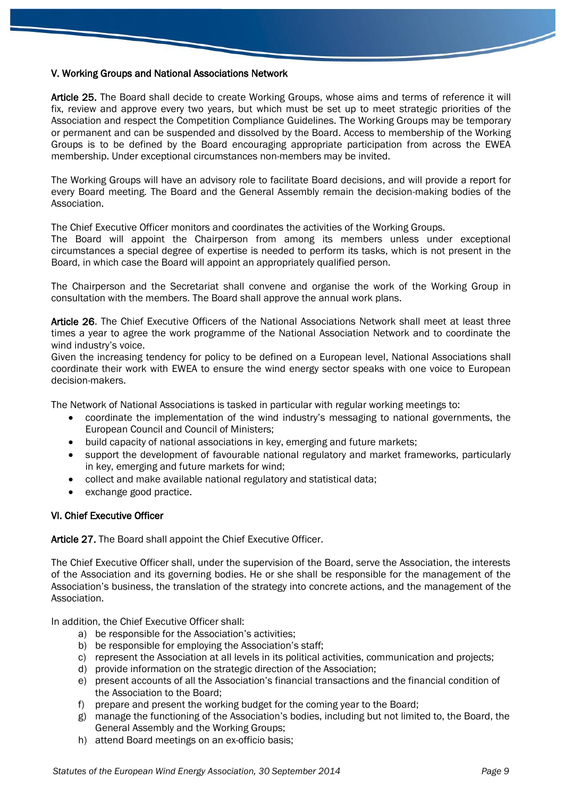# V. Working Groups and National Associations Network

Article 25. The Board shall decide to create Working Groups, whose aims and terms of reference it will fix, review and approve every two years, but which must be set up to meet strategic priorities of the Association and respect the Competition Compliance Guidelines. The Working Groups may be temporary or permanent and can be suspended and dissolved by the Board. Access to membership of the Working Groups is to be defined by the Board encouraging appropriate participation from across the EWEA membership. Under exceptional circumstances non-members may be invited.

The Working Groups will have an advisory role to facilitate Board decisions, and will provide a report for every Board meeting. The Board and the General Assembly remain the decision-making bodies of the Association.

The Chief Executive Officer monitors and coordinates the activities of the Working Groups.

The Board will appoint the Chairperson from among its members unless under exceptional circumstances a special degree of expertise is needed to perform its tasks, which is not present in the Board, in which case the Board will appoint an appropriately qualified person.

The Chairperson and the Secretariat shall convene and organise the work of the Working Group in consultation with the members. The Board shall approve the annual work plans.

Article 26. The Chief Executive Officers of the National Associations Network shall meet at least three times a year to agree the work programme of the National Association Network and to coordinate the wind industry's voice.

Given the increasing tendency for policy to be defined on a European level, National Associations shall coordinate their work with EWEA to ensure the wind energy sector speaks with one voice to European decision-makers.

The Network of National Associations is tasked in particular with regular working meetings to:

- coordinate the implementation of the wind industry's messaging to national governments, the European Council and Council of Ministers;
- build capacity of national associations in key, emerging and future markets;
- support the development of favourable national regulatory and market frameworks, particularly in key, emerging and future markets for wind;
- collect and make available national regulatory and statistical data;
- exchange good practice.

#### VI. Chief Executive Officer

Article 27. The Board shall appoint the Chief Executive Officer.

The Chief Executive Officer shall, under the supervision of the Board, serve the Association, the interests of the Association and its governing bodies. He or she shall be responsible for the management of the Association's business, the translation of the strategy into concrete actions, and the management of the Association.

In addition, the Chief Executive Officer shall:

- a) be responsible for the Association's activities;
- b) be responsible for employing the Association's staff;
- c) represent the Association at all levels in its political activities, communication and projects;
- d) provide information on the strategic direction of the Association;
- e) present accounts of all the Association's financial transactions and the financial condition of the Association to the Board;
- f) prepare and present the working budget for the coming year to the Board;
- g) manage the functioning of the Association's bodies, including but not limited to, the Board, the General Assembly and the Working Groups;
- h) attend Board meetings on an ex-officio basis;